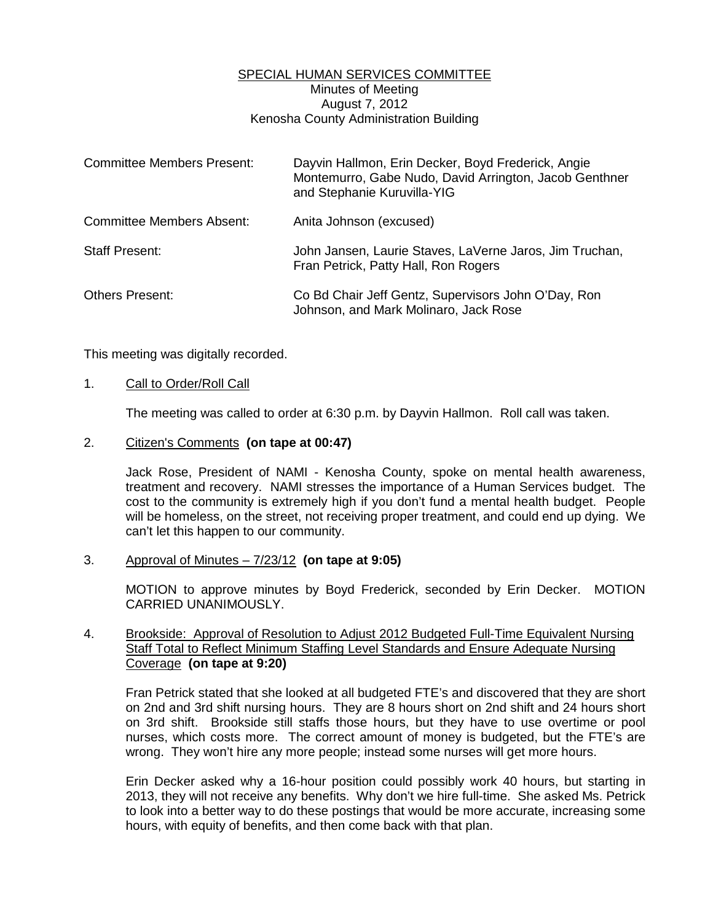# SPECIAL HUMAN SERVICES COMMITTEE Minutes of Meeting August 7, 2012 Kenosha County Administration Building

| <b>Committee Members Present:</b> | Dayvin Hallmon, Erin Decker, Boyd Frederick, Angie<br>Montemurro, Gabe Nudo, David Arrington, Jacob Genthner<br>and Stephanie Kuruvilla-YIG |
|-----------------------------------|---------------------------------------------------------------------------------------------------------------------------------------------|
| Committee Members Absent:         | Anita Johnson (excused)                                                                                                                     |
| <b>Staff Present:</b>             | John Jansen, Laurie Staves, LaVerne Jaros, Jim Truchan,<br>Fran Petrick, Patty Hall, Ron Rogers                                             |
| <b>Others Present:</b>            | Co Bd Chair Jeff Gentz, Supervisors John O'Day, Ron<br>Johnson, and Mark Molinaro, Jack Rose                                                |

This meeting was digitally recorded.

### 1. Call to Order/Roll Call

The meeting was called to order at 6:30 p.m. by Dayvin Hallmon. Roll call was taken.

## 2. Citizen's Comments **(on tape at 00:47)**

 Jack Rose, President of NAMI - Kenosha County, spoke on mental health awareness, treatment and recovery. NAMI stresses the importance of a Human Services budget. The cost to the community is extremely high if you don't fund a mental health budget. People will be homeless, on the street, not receiving proper treatment, and could end up dying. We can't let this happen to our community.

### 3. Approval of Minutes – 7/23/12 **(on tape at 9:05)**

 MOTION to approve minutes by Boyd Frederick, seconded by Erin Decker. MOTION CARRIED UNANIMOUSLY.

# 4. Brookside: Approval of Resolution to Adjust 2012 Budgeted Full-Time Equivalent Nursing Staff Total to Reflect Minimum Staffing Level Standards and Ensure Adequate Nursing Coverage **(on tape at 9:20)**

 Fran Petrick stated that she looked at all budgeted FTE's and discovered that they are short on 2nd and 3rd shift nursing hours. They are 8 hours short on 2nd shift and 24 hours short on 3rd shift. Brookside still staffs those hours, but they have to use overtime or pool nurses, which costs more. The correct amount of money is budgeted, but the FTE's are wrong. They won't hire any more people; instead some nurses will get more hours.

 Erin Decker asked why a 16-hour position could possibly work 40 hours, but starting in 2013, they will not receive any benefits. Why don't we hire full-time. She asked Ms. Petrick to look into a better way to do these postings that would be more accurate, increasing some hours, with equity of benefits, and then come back with that plan.